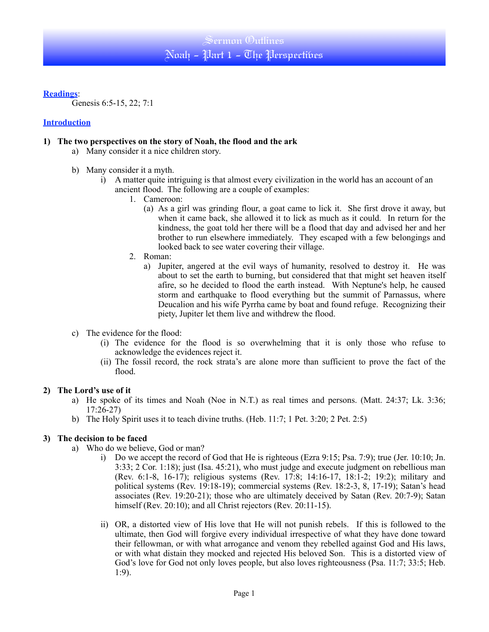# Sermon Outlines Noah - Part 1 - The Perspectives

**Readings**:

Genesis 6:5-15, 22; 7:1

## **Introduction**

## **1) The two perspectives on the story of Noah, the flood and the ark**

- a) Many consider it a nice children story.
- b) Many consider it a myth.
	- i) A matter quite intriguing is that almost every civilization in the world has an account of an ancient flood. The following are a couple of examples:
		- 1. Cameroon:
			- (a) As a girl was grinding flour, a goat came to lick it. She first drove it away, but when it came back, she allowed it to lick as much as it could. In return for the kindness, the goat told her there will be a flood that day and advised her and her brother to run elsewhere immediately. They escaped with a few belongings and looked back to see water covering their village.
		- 2. Roman:
			- a) Jupiter, angered at the evil ways of humanity, resolved to destroy it. He was about to set the earth to burning, but considered that that might set heaven itself afire, so he decided to flood the earth instead. With Neptune's help, he caused storm and earthquake to flood everything but the summit of Parnassus, where Deucalion and his wife Pyrrha came by boat and found refuge. Recognizing their piety, Jupiter let them live and withdrew the flood.
- c) The evidence for the flood:
	- (i) The evidence for the flood is so overwhelming that it is only those who refuse to acknowledge the evidences reject it.
	- (ii) The fossil record, the rock strata's are alone more than sufficient to prove the fact of the flood.

### **2) The Lord's use of it**

- a) He spoke of its times and Noah (Noe in N.T.) as real times and persons. (Matt. 24:37; Lk. 3:36; 17:26-27)
- b) The Holy Spirit uses it to teach divine truths. (Heb. 11:7; 1 Pet. 3:20; 2 Pet. 2:5)

## **3) The decision to be faced**

- a) Who do we believe, God or man?
	- i) Do we accept the record of God that He is righteous (Ezra 9:15; Psa. 7:9); true (Jer. 10:10; Jn. 3:33; 2 Cor. 1:18); just (Isa. 45:21), who must judge and execute judgment on rebellious man (Rev. 6:1-8, 16-17); religious systems (Rev. 17:8; 14:16-17, 18:1-2; 19:2); military and political systems (Rev. 19:18-19); commercial systems (Rev. 18:2-3, 8, 17-19); Satan's head associates (Rev. 19:20-21); those who are ultimately deceived by Satan (Rev. 20:7-9); Satan himself (Rev. 20:10); and all Christ rejectors (Rev. 20:11-15).
	- ii) OR, a distorted view of His love that He will not punish rebels. If this is followed to the ultimate, then God will forgive every individual irrespective of what they have done toward their fellowman, or with what arrogance and venom they rebelled against God and His laws, or with what distain they mocked and rejected His beloved Son. This is a distorted view of God's love for God not only loves people, but also loves righteousness (Psa. 11:7; 33:5; Heb. 1:9).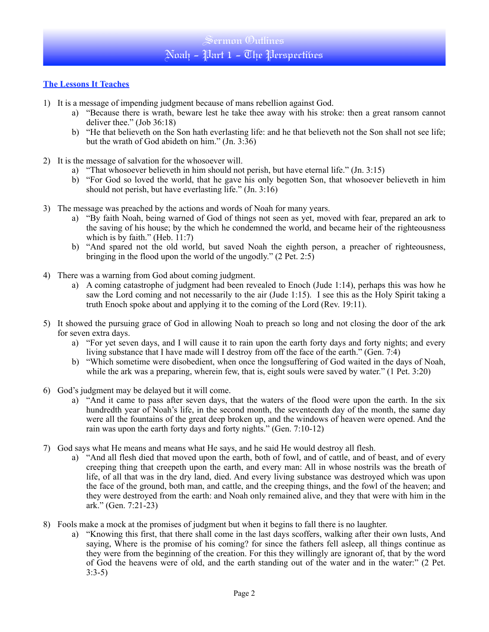## **The Lessons It Teaches**

- 1) It is a message of impending judgment because of mans rebellion against God.
	- a) "Because there is wrath, beware lest he take thee away with his stroke: then a great ransom cannot deliver thee." (Job 36:18)
	- b) "He that believeth on the Son hath everlasting life: and he that believeth not the Son shall not see life; but the wrath of God abideth on him." (Jn. 3:36)
- 2) It is the message of salvation for the whosoever will.
	- a) "That whosoever believeth in him should not perish, but have eternal life." (Jn. 3:15)
	- b) "For God so loved the world, that he gave his only begotten Son, that whosoever believeth in him should not perish, but have everlasting life." (Jn. 3:16)
- 3) The message was preached by the actions and words of Noah for many years.
	- a) "By faith Noah, being warned of God of things not seen as yet, moved with fear, prepared an ark to the saving of his house; by the which he condemned the world, and became heir of the righteousness which is by faith." (Heb. 11:7)
	- b) "And spared not the old world, but saved Noah the eighth person, a preacher of righteousness, bringing in the flood upon the world of the ungodly."  $(2$  Pet.  $2:5)$
- 4) There was a warning from God about coming judgment.
	- a) A coming catastrophe of judgment had been revealed to Enoch (Jude 1:14), perhaps this was how he saw the Lord coming and not necessarily to the air (Jude 1:15). I see this as the Holy Spirit taking a truth Enoch spoke about and applying it to the coming of the Lord (Rev. 19:11).
- 5) It showed the pursuing grace of God in allowing Noah to preach so long and not closing the door of the ark for seven extra days.
	- a) "For yet seven days, and I will cause it to rain upon the earth forty days and forty nights; and every living substance that I have made will I destroy from off the face of the earth." (Gen. 7:4)
	- b) "Which sometime were disobedient, when once the longsuffering of God waited in the days of Noah, while the ark was a preparing, wherein few, that is, eight souls were saved by water." (1 Pet. 3:20)
- 6) God's judgment may be delayed but it will come.
	- a) "And it came to pass after seven days, that the waters of the flood were upon the earth. In the six hundredth year of Noah's life, in the second month, the seventeenth day of the month, the same day were all the fountains of the great deep broken up, and the windows of heaven were opened. And the rain was upon the earth forty days and forty nights." (Gen. 7:10-12)
- 7) God says what He means and means what He says, and he said He would destroy all flesh.
	- a) "And all flesh died that moved upon the earth, both of fowl, and of cattle, and of beast, and of every creeping thing that creepeth upon the earth, and every man: All in whose nostrils was the breath of life, of all that was in the dry land, died. And every living substance was destroyed which was upon the face of the ground, both man, and cattle, and the creeping things, and the fowl of the heaven; and they were destroyed from the earth: and Noah only remained alive, and they that were with him in the ark." (Gen. 7:21-23)
- 8) Fools make a mock at the promises of judgment but when it begins to fall there is no laughter.
	- a) "Knowing this first, that there shall come in the last days scoffers, walking after their own lusts, And saying, Where is the promise of his coming? for since the fathers fell asleep, all things continue as they were from the beginning of the creation. For this they willingly are ignorant of, that by the word of God the heavens were of old, and the earth standing out of the water and in the water:" (2 Pet. 3:3-5)